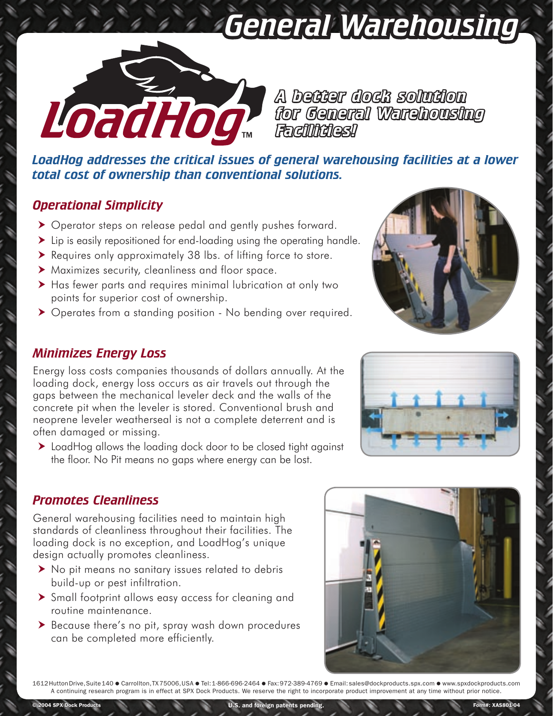# *General Warehousing*



*A better dock solution for General Warehousing Facilities!*

*LoadHog addresses the critical issues of general warehousing facilities at a lower total cost of ownership than conventional solutions.*

### *Operational Simplicity*

- Operator steps on release pedal and gently pushes forward.
- I Lip is easily repositioned for end-loading using the operating handle.
- Requires only approximately 38 lbs. of lifting force to store.
- Maximizes security, cleanliness and floor space.
- Has fewer parts and requires minimal lubrication at only two points for superior cost of ownership.
- ▶ Operates from a standing position No bending over required.

## *Minimizes Energy Loss*

ŕ

í

Energy loss costs companies thousands of dollars annually. At the loading dock, energy loss occurs as air travels out through the gaps between the mechanical leveler deck and the walls of the concrete pit when the leveler is stored. Conventional brush and neoprene leveler weatherseal is not a complete deterrent and is often damaged or missing.

▶ LoadHog allows the loading dock door to be closed tight against the floor. No Pit means no gaps where energy can be lost.





#### *Promotes Cleanliness*

General warehousing facilities need to maintain high standards of cleanliness throughout their facilities. The loading dock is no exception, and LoadHog's unique design actually promotes cleanliness.

- No pit means no sanitary issues related to debris build-up or pest infiltration.
- Small footprint allows easy access for cleaning and routine maintenance.
- Because there's no pit, spray wash down procedures can be completed more efficiently.



1612 Hutton Drive, Suite 140 ● Carrollton, TX 75006, USA ● Tel: 1-866-696-2464 ● Fax: 972-389-4769 ● Email: sales@dockproducts.spx.com ● www.spxdockproducts.com A continuing research program is in effect at SPX Dock Products. We reserve the right to incorporate product improvement at any time without prior notice.

U.S. and foreign patents pending. The state of the state of the state of the state of the state of the state of the state of the state of the state of the state of the state of the state of the state of the state of the st